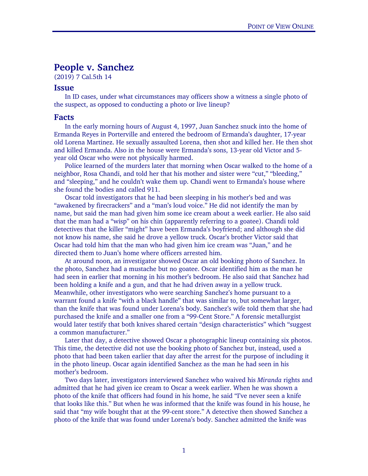## People v. Sanchez

(2019) 7 Cal.5th 14

## Issue

In ID cases, under what circumstances may officers show a witness a single photo of the suspect, as opposed to conducting a photo or live lineup?

## Facts

In the early morning hours of August 4, 1997, Juan Sanchez snuck into the home of Ermanda Reyes in Porterville and entered the bedroom of Ermanda's daughter, 17-year old Lorena Martinez. He sexually assaulted Lorena, then shot and killed her. He then shot and killed Ermanda. Also in the house were Ermanda's sons, 13-year old Victor and 5 year old Oscar who were not physically harmed.

Police learned of the murders later that morning when Oscar walked to the home of a neighbor, Rosa Chandi, and told her that his mother and sister were "cut," "bleeding," and "sleeping," and he couldn't wake them up. Chandi went to Ermanda's house where she found the bodies and called 911.

Oscar told investigators that he had been sleeping in his mother's bed and was "awakened by firecrackers" and a "man's loud voice." He did not identify the man by name, but said the man had given him some ice cream about a week earlier. He also said that the man had a "wisp" on his chin (apparently referring to a goatee). Chandi told detectives that the killer "might" have been Ermanda's boyfriend; and although she did not know his name, she said he drove a yellow truck. Oscar's brother Victor said that Oscar had told him that the man who had given him ice cream was "Juan," and he directed them to Juan's home where officers arrested him.

At around noon, an investigator showed Oscar an old booking photo of Sanchez. In the photo, Sanchez had a mustache but no goatee. Oscar identified him as the man he had seen in earlier that morning in his mother's bedroom. He also said that Sanchez had been holding a knife and a gun, and that he had driven away in a yellow truck. Meanwhile, other investigators who were searching Sanchez's home pursuant to a warrant found a knife "with a black handle" that was similar to, but somewhat larger, than the knife that was found under Lorena's body. Sanchez's wife told them that she had purchased the knife and a smaller one from a "99-Cent Store." A forensic metallurgist would later testify that both knives shared certain "design characteristics" which "suggest a common manufacturer."

Later that day, a detective showed Oscar a photographic lineup containing six photos. This time, the detective did not use the booking photo of Sanchez but, instead, used a photo that had been taken earlier that day after the arrest for the purpose of including it in the photo lineup. Oscar again identified Sanchez as the man he had seen in his mother's bedroom.

Two days later, investigators interviewed Sanchez who waived his *Miranda* rights and admitted that he had given ice cream to Oscar a week earlier. When he was shown a photo of the knife that officers had found in his home, he said "I've never seen a knife that looks like this." But when he was informed that the knife was found in his house, he said that "my wife bought that at the 99-cent store." A detective then showed Sanchez a photo of the knife that was found under Lorena's body. Sanchez admitted the knife was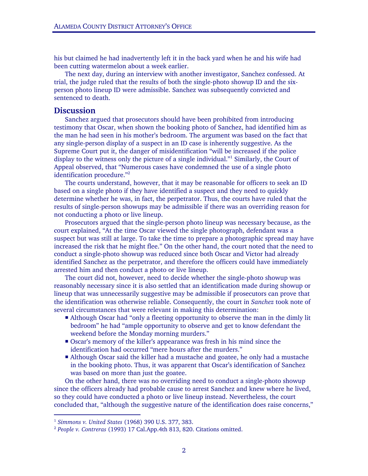his but claimed he had inadvertently left it in the back yard when he and his wife had been cutting watermelon about a week earlier.

The next day, during an interview with another investigator, Sanchez confessed. At trial, the judge ruled that the results of both the single-photo showup ID and the sixperson photo lineup ID were admissible. Sanchez was subsequently convicted and sentenced to death.

## **Discussion**

Sanchez argued that prosecutors should have been prohibited from introducing testimony that Oscar, when shown the booking photo of Sanchez, had identified him as the man he had seen in his mother's bedroom. The argument was based on the fact that any single-person display of a suspect in an ID case is inherently suggestive. As the Supreme Court put it, the danger of misidentification "will be increased if the police display to the witness only the picture of a single individual."<sup>1</sup> Similarly, the Court of Appeal observed, that "Numerous cases have condemned the use of a single photo identification procedure."2

The courts understand, however, that it may be reasonable for officers to seek an ID based on a single photo if they have identified a suspect and they need to quickly determine whether he was, in fact, the perpetrator. Thus, the courts have ruled that the results of single-person showups may be admissible if there was an overriding reason for not conducting a photo or live lineup.

Prosecutors argued that the single-person photo lineup was necessary because, as the court explained, "At the time Oscar viewed the single photograph, defendant was a suspect but was still at large. To take the time to prepare a photographic spread may have increased the risk that he might flee." On the other hand, the court noted that the need to conduct a single-photo showup was reduced since both Oscar and Victor had already identified Sanchez as the perpetrator, and therefore the officers could have immediately arrested him and then conduct a photo or live lineup.

The court did not, however, need to decide whether the single-photo showup was reasonably necessary since it is also settled that an identification made during showup or lineup that was unnecessarily suggestive may be admissible if prosecutors can prove that the identification was otherwise reliable. Consequently, the court in *Sanchez* took note of several circumstances that were relevant in making this determination:

- Although Oscar had "only a fleeting opportunity to observe the man in the dimly lit bedroom" he had "ample opportunity to observe and get to know defendant the weekend before the Monday morning murders."
- Oscar's memory of the killer's appearance was fresh in his mind since the identification had occurred "mere hours after the murders."
- Although Oscar said the killer had a mustache and goatee, he only had a mustache in the booking photo. Thus, it was apparent that Oscar's identification of Sanchez was based on more than just the goatee.

On the other hand, there was no overriding need to conduct a single-photo showup since the officers already had probable cause to arrest Sanchez and knew where he lived, so they could have conducted a photo or live lineup instead. Nevertheless, the court concluded that, "although the suggestive nature of the identification does raise concerns,"

-

<sup>&</sup>lt;sup>1</sup> Simmons v. United States (1968) 390 U.S. 377, 383.<br><sup>2</sup> People v. Contreras (1993) 17 Cal.App.4th 813, 820. Citations omitted.